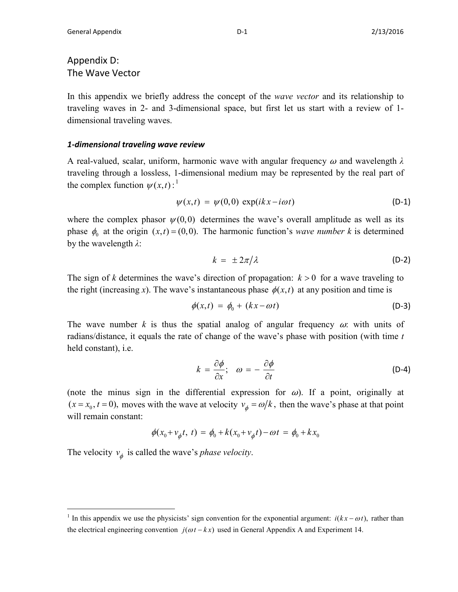## Appendix D: The Wave Vector

In this appendix we briefly address the concept of the *wave vector* and its relationship to traveling waves in 2- and 3-dimensional space, but first let us start with a review of 1 dimensional traveling waves.

## *1-dimensional traveling wave review*

A real-valued, scalar, uniform, harmonic wave with angular frequency <sup>ω</sup> and wavelength *λ* traveling through a lossless, 1-dimensional medium may be represented by the real part of the complex function  $\psi(x,t)$ :<sup>[1](#page-0-0)</sup>

$$
\psi(x,t) = \psi(0,0) \exp(ikx - i\omega t) \tag{D-1}
$$

where the complex phasor  $\psi(0,0)$  determines the wave's overall amplitude as well as its phase  $\phi_0$  at the origin  $(x, t) = (0, 0)$ . The harmonic function's *wave number k* is determined by the wavelength *λ*:

$$
k = \pm 2\pi/\lambda \tag{D-2}
$$

The sign of *k* determines the wave's direction of propagation:  $k > 0$  for a wave traveling to the right (increasing *x*). The wave's instantaneous phase  $\phi(x,t)$  at any position and time is

$$
\phi(x,t) = \phi_0 + (kx - \omega t) \tag{D-3}
$$

The wave number  $k$  is thus the spatial analog of angular frequency  $\omega$ : with units of radians/distance, it equals the rate of change of the wave's phase with position (with time *t* held constant), i.e.

$$
k = \frac{\partial \phi}{\partial x}; \quad \omega = -\frac{\partial \phi}{\partial t}
$$
 (D-4)

(note the minus sign in the differential expression for  $\omega$ ). If a point, originally at  $(x = x_0, t = 0)$ , moves with the wave at velocity  $v_{\phi} = \omega/k$ , then the wave's phase at that point will remain constant:

$$
\phi(x_0 + v_{\phi}t, t) = \phi_0 + k(x_0 + v_{\phi}t) - \omega t = \phi_0 + kx_0
$$

The velocity  $v_{\phi}$  is called the wave's *phase velocity*.

<span id="page-0-0"></span><sup>&</sup>lt;sup>1</sup> In this appendix we use the physicists' sign convention for the exponential argument:  $i(kx - \omega t)$ , rather than the electrical engineering convention  $j(\omega t - kx)$  used in General Appendix A and Experiment 14.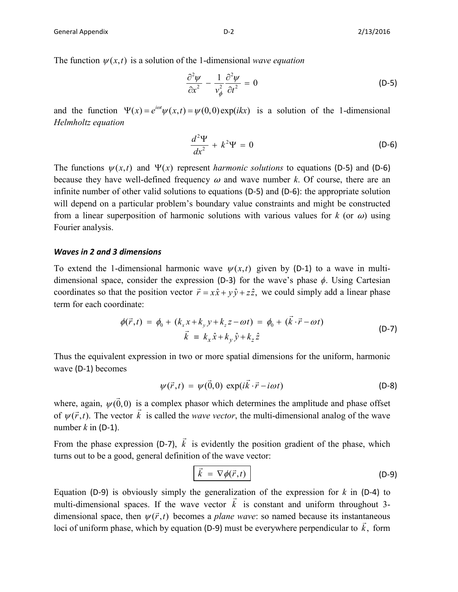$$
\frac{\partial^2 \psi}{\partial x^2} - \frac{1}{v_\phi^2} \frac{\partial^2 \psi}{\partial t^2} = 0
$$
 (D-5)

and the function  $\Psi(x) = e^{i\omega t}\psi(x, t) = \psi(0,0) \exp(ikx)$  is a solution of the 1-dimensional *Helmholtz equation*

$$
\frac{d^2\Psi}{dx^2} + k^2\Psi = 0
$$
 (D-6)

The functions  $\psi(x,t)$  and  $\Psi(x)$  represent *harmonic solutions* to equations (D-5) and (D-6) because they have well-defined frequency  $\omega$  and wave number *k*. Of course, there are an infinite number of other valid solutions to equations (D-5) and (D-6): the appropriate solution will depend on a particular problem's boundary value constraints and might be constructed from a linear superposition of harmonic solutions with various values for  $k$  (or  $\omega$ ) using Fourier analysis.

## *Waves in 2 and 3 dimensions*

To extend the 1-dimensional harmonic wave  $\psi(x,t)$  given by (D-1) to a wave in multidimensional space, consider the expression (D-3) for the wave's phase *ϕ*. Using Cartesian coordinates so that the position vector  $\vec{r} = x\hat{x} + y\hat{y} + z\hat{z}$ , we could simply add a linear phase term for each coordinate:

$$
\phi(\vec{r},t) = \phi_0 + (k_x x + k_y y + k_z z - \omega t) = \phi_0 + (\vec{k} \cdot \vec{r} - \omega t)
$$
  
\n
$$
\vec{k} = k_x \hat{x} + k_y \hat{y} + k_z \hat{z}
$$
\n(D-7)

Thus the equivalent expression in two or more spatial dimensions for the uniform, harmonic wave (D-1) becomes

$$
\psi(\vec{r},t) = \psi(\vec{0},0) \exp(i\vec{k}\cdot\vec{r}-i\omega t)
$$
 (D-8)

where, again,  $\psi(\vec{0},0)$  is a complex phasor which determines the amplitude and phase offset where, again,  $\psi(0,0)$  is a complex phasor which determines the amplitude and phase of set of  $\psi(\vec{r},t)$ . The vector  $\vec{k}$  is called the *wave vector*, the multi-dimensional analog of the wave number  $k$  in (D-1).

From the phase expression (D-7),  $\vec{k}$  is evidently the position gradient of the phase, which turns out to be a good, general definition of the wave vector:

$$
\vec{k} = \nabla \phi(\vec{r}, t) \tag{D-9}
$$

Equation (D-9) is obviously simply the generalization of the expression for *k* in (D-4) to multi-dimensional spaces. If the wave vector  $\vec{k}$  is constant and uniform throughout 3-<br>multi-dimensional spaces. If the wave vector  $\vec{k}$  is constant and uniform throughout 3dimensional space, then  $\psi(\vec{r},t)$  becomes a *plane wave*: so named because its instantaneous Intensional space, then  $\psi(t, t)$  occomes a *plane wave*. So hance occause its instantaneous loci of uniform phase, which by equation (D-9) must be everywhere perpendicular to  $\vec{k}$ , form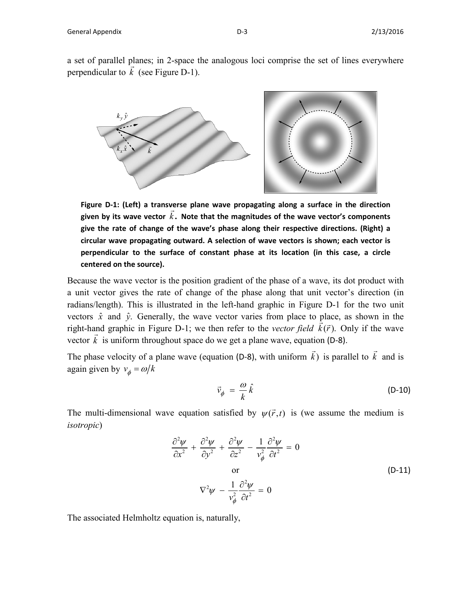a set of parallel planes; in 2-space the analogous loci comprise the set of lines everywhere a set of parafier planes, in 2-space to<br>perpendicular to  $\vec{k}$  (see [Figure D-1\)](#page-2-0).



<span id="page-2-0"></span>**Figure D-1: (Left) a transverse plane wave propagating along a surface in the direction**  Figure D-1. (Lett) a transverse plane wave propagating along a surface in the direction<br>given by its wave vector  $\vec{k}$ . Note that the magnitudes of the wave vector's components **give the rate of change of the wave's phase along their respective directions. (Right) a circular wave propagating outward. A selection of wave vectors is shown; each vector is perpendicular to the surface of constant phase at its location (in this case, a circle centered on the source).**

Because the wave vector is the position gradient of the phase of a wave, its dot product with a unit vector gives the rate of change of the phase along that unit vector's direction (in radians/length). This is illustrated in the left-hand graphic in [Figure D-1](#page-2-0) for the two unit vectors  $\hat{x}$  and  $\hat{y}$ . Generally, the wave vector varies from place to place, as shown in the right-hand graphic in [Figure D-1;](#page-2-0) we then refer to the *vector field*  $\vec{k}(\vec{r})$ . Only if the wave right-hand graphic in Figure D-1; we then refer to the *vector field*  $\vec{k}(\vec{r})$ . Only if the wave vector  $\vec{k}$  is uniform throughout space do we get a plane wave, equation (D-8).

The phase velocity of a plane wave (equation (D-8), with uniform  $\vec{k}$ ) is parallel to  $\vec{k}$  and is again given by  $v_a = \omega/k$ 

$$
\vec{v}_{\phi} = \frac{\omega}{k} \hat{k} \tag{D-10}
$$

The multi-dimensional wave equation satisfied by  $\psi(\vec{r},t)$  is (we assume the medium is *isotropic*)

$$
\frac{\partial^2 \psi}{\partial x^2} + \frac{\partial^2 \psi}{\partial y^2} + \frac{\partial^2 \psi}{\partial z^2} - \frac{1}{v_\phi^2} \frac{\partial^2 \psi}{\partial t^2} = 0
$$
  
or  

$$
\nabla^2 \psi - \frac{1}{v_\phi^2} \frac{\partial^2 \psi}{\partial t^2} = 0
$$
 (D-11)

The associated Helmholtz equation is, naturally,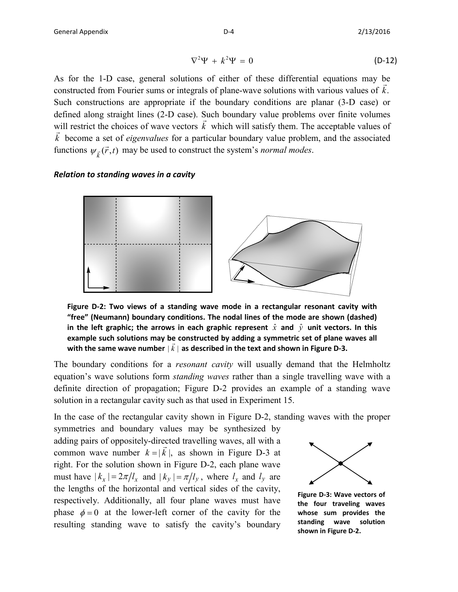$$
\nabla^2 \Psi + k^2 \Psi = 0 \tag{D-12}
$$

As for the 1-D case, general solutions of either of these differential equations may be constructed from Fourier sums or integrals of plane-wave solutions with various values of *k*. Such constructions are appropriate if the boundary conditions are planar (3-D case) or defined along straight lines (2-D case). Such boundary value problems over finite volumes will restrict the choices of wave vectors  $\vec{k}$  which will satisfy them. The acceptable values of will restrict the choices of wave vectors  $\vec{k}$  which will satisfy them. The acceptable values of  $\vec{k}$  become a set of *eigenvalues* for a particular boundary value problem, and the associated  $\vec{k}$ functions  $\psi_{\vec{k}}(\vec{r},t)$  may be used to construct the system's *normal modes*.

## *Relation to standing waves in a cavity*



<span id="page-3-1"></span>**Figure D-2: Two views of a standing wave mode in a rectangular resonant cavity with "free" (Neumann) boundary conditions. The nodal lines of the mode are shown (dashed) in the left graphic; the arrows in each graphic represent**  $\hat{x}$  **and**  $\hat{y}$  **unit vectors. In this example such solutions may be constructed by adding a symmetric set of plane waves all**   $\vec{a}$  and  $\vec{b}$  and solutions may be constructed by adding a symmetric set of plane  $\vec{a}$  with the same wave number  $|\vec{k}|$  as described in the text and shown in [Figure D-3.](#page-3-0)

The boundary conditions for a *resonant cavity* will usually demand that the Helmholtz equation's wave solutions form *standing waves* rather than a single travelling wave with a definite direction of propagation; [Figure D-2](#page-3-1) provides an example of a standing wave solution in a rectangular cavity such as that used in Experiment 15.

In the case of the rectangular cavity shown in [Figure D-2,](#page-3-1) standing waves with the proper

symmetries and boundary values may be synthesized by adding pairs of oppositely-directed travelling waves, all with a common wave number  $k = |\vec{k}|$ , as shown in [Figure D-3](#page-3-0) at right. For the solution shown in [Figure D-2,](#page-3-1) each plane wave must have  $|k_x| = 2\pi/l_x$  and  $|k_y| = \pi/l_y$ , where  $l_x$  and  $l_y$  are the lengths of the horizontal and vertical sides of the cavity, respectively. Additionally, all four plane waves must have phase  $\phi = 0$  at the lower-left corner of the cavity for the resulting standing wave to satisfy the cavity's boundary



<span id="page-3-0"></span>**Figure D-3: Wave vectors of the four traveling waves whose sum provides the standing wave solution shown in [Figure D-2.](#page-3-1)**